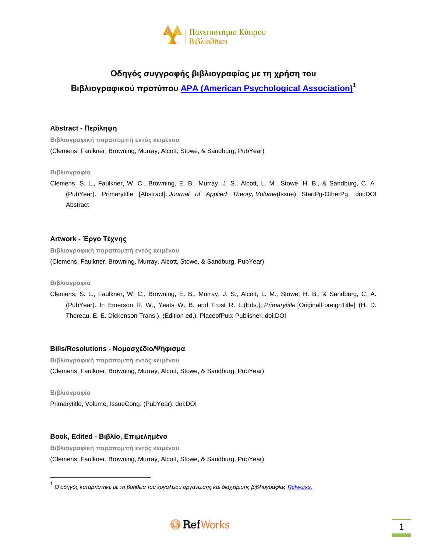

# **Οδηγός συγγραφής βιβλιογραφίας με τη χρήση του Βιβλιογραφικού προτύπου APA (American [Psychological](http://www.apa.org/) Association) 1**

# **Abstract - Περίληψη**

**Βιβλιογραφική παραπομπή εντός κειμένου** (Clemens, Faulkner, Browning, Murray, Alcott, Stowe, & Sandburg, PubYear)

# **Βιβλιογραφία**

Clemens, S. L., Faulkner, W. C., Browning, E. B., Murray, J. S., Alcott, L. M., Stowe, H. B., & Sandburg, C. A. (PubYear). Primarytitle [Abstract]. *Journal of Applied Theory, Volume*(Issue) StartPg-OtherPg. doi:DOI Abstract

# **Artwork - Έργο Τέχνης**

**Βιβλιογραφική παραπομπή εντός κειμένου** (Clemens, Faulkner, Browning, Murray, Alcott, Stowe, & Sandburg, PubYear)

# **Βιβλιογραφία**

Clemens, S. L., Faulkner, W. C., Browning, E. B., Murray, J. S., Alcott, L. M., Stowe, H. B., & Sandburg, C. A. (PubYear). In Emerson R. W., Yeats W. B. and Frost R. L.(Eds.), *Primarytitle* [OriginalForeignTitle] (H. D. Thoreau, E. E. Dickenson Trans.). (Edition ed.). PlaceofPub: Publisher. doi:DOI

# **Bills/Resolutions - Νομοσχέδιο/Ψήφισμα**

**Βιβλιογραφική παραπομπή εντός κειμένου** (Clemens, Faulkner, Browning, Murray, Alcott, Stowe, & Sandburg, PubYear)

**Βιβλιογραφία**

 $\overline{\phantom{a}}$ 

Primarytitle, Volume, IssueCong. (PubYear). doi:DOI

# **Book, Edited - Βιβλίο, Επιμελημένο**

**Βιβλιογραφική παραπομπή εντός κειμένου**

(Clemens, Faulkner, Browning, Murray, Alcott, Stowe, & Sandburg, PubYear)

<sup>.&</sup>lt;br><sup>1</sup> Ο οδηγός καταρτίστηκε με τη βοήθεια του εργαλείου οργάνωσης και διαχείρισης βιβλιογραφίας <u>Refworks.</u>

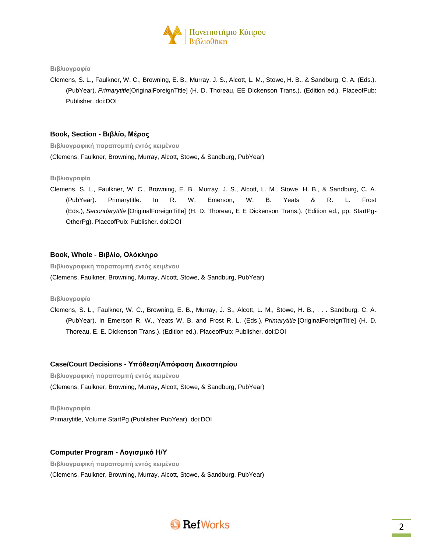

Clemens, S. L., Faulkner, W. C., Browning, E. B., Murray, J. S., Alcott, L. M., Stowe, H. B., & Sandburg, C. A. (Eds.). (PubYear). *Primarytitle*[OriginalForeignTitle] (H. D. Thoreau, EE Dickenson Trans.). (Edition ed.). PlaceofPub: Publisher. doi:DOI

### **Book, Section - Βιβλίο, Μέρος**

**Βιβλιογραφική παραπομπή εντός κειμένου** (Clemens, Faulkner, Browning, Murray, Alcott, Stowe, & Sandburg, PubYear)

#### **Βιβλιογραφία**

Clemens, S. L., Faulkner, W. C., Browning, E. B., Murray, J. S., Alcott, L. M., Stowe, H. B., & Sandburg, C. A. (PubYear). Primarytitle. In R. W. Emerson, W. B. Yeats & R. L. Frost (Eds.), *Secondarytitle* [OriginalForeignTitle] (H. D. Thoreau, E E Dickenson Trans.). (Edition ed., pp. StartPg-OtherPg). PlaceofPub: Publisher. doi:DOI

#### **Book, Whole - Βιβλίο, Ολόκληρο**

**Βιβλιογραφική παραπομπή εντός κειμένου**

(Clemens, Faulkner, Browning, Murray, Alcott, Stowe, & Sandburg, PubYear)

# **Βιβλιογραφία**

Clemens, S. L., Faulkner, W. C., Browning, E. B., Murray, J. S., Alcott, L. M., Stowe, H. B., . . . Sandburg, C. A. (PubYear). In Emerson R. W., Yeats W. B. and Frost R. L. (Eds.), *Primarytitle* [OriginalForeignTitle] (H. D. Thoreau, E. E. Dickenson Trans.). (Edition ed.). PlaceofPub: Publisher. doi:DOI

### **Case/Court Decisions - Υπόθεση/Απόφαση Δικαστηρίου**

**Βιβλιογραφική παραπομπή εντός κειμένου** (Clemens, Faulkner, Browning, Murray, Alcott, Stowe, & Sandburg, PubYear)

### **Βιβλιογραφία**

Primarytitle, Volume StartPg (Publisher PubYear). doi:DOI

### **Computer Program - Λογισμικό Η/Υ**

**Βιβλιογραφική παραπομπή εντός κειμένου** (Clemens, Faulkner, Browning, Murray, Alcott, Stowe, & Sandburg, PubYear)

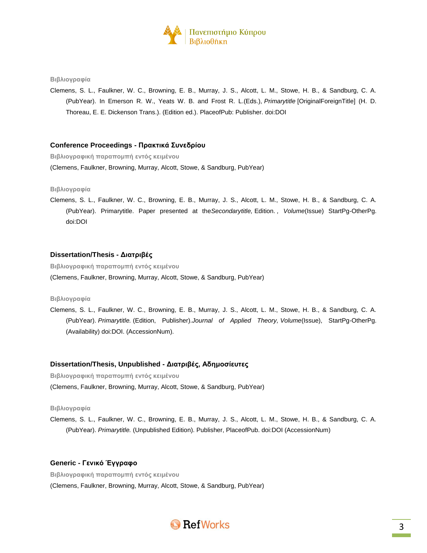

Clemens, S. L., Faulkner, W. C., Browning, E. B., Murray, J. S., Alcott, L. M., Stowe, H. B., & Sandburg, C. A. (PubYear). In Emerson R. W., Yeats W. B. and Frost R. L.(Eds.), *Primarytitle* [OriginalForeignTitle] (H. D. Thoreau, E. E. Dickenson Trans.). (Edition ed.). PlaceofPub: Publisher. doi:DOI

# **Conference Proceedings - Πρακτικά Συνεδρίου**

**Βιβλιογραφική παραπομπή εντός κειμένου**

(Clemens, Faulkner, Browning, Murray, Alcott, Stowe, & Sandburg, PubYear)

#### **Βιβλιογραφία**

Clemens, S. L., Faulkner, W. C., Browning, E. B., Murray, J. S., Alcott, L. M., Stowe, H. B., & Sandburg, C. A. (PubYear). Primarytitle. Paper presented at the*Secondarytitle,* Edition. *, Volume*(Issue) StartPg-OtherPg. doi:DOI

#### **Dissertation/Thesis - Διατριβές**

**Βιβλιογραφική παραπομπή εντός κειμένου**

(Clemens, Faulkner, Browning, Murray, Alcott, Stowe, & Sandburg, PubYear)

# **Βιβλιογραφία**

Clemens, S. L., Faulkner, W. C., Browning, E. B., Murray, J. S., Alcott, L. M., Stowe, H. B., & Sandburg, C. A. (PubYear). *Primarytitle.* (Edition, Publisher).*Journal of Applied Theory, Volume*(Issue), StartPg-OtherPg. (Availability) doi:DOI. (AccessionNum).

### **Dissertation/Thesis, Unpublished - Διατριβές, Αδημοσίευτες**

**Βιβλιογραφική παραπομπή εντός κειμένου** (Clemens, Faulkner, Browning, Murray, Alcott, Stowe, & Sandburg, PubYear)

# **Βιβλιογραφία**

Clemens, S. L., Faulkner, W. C., Browning, E. B., Murray, J. S., Alcott, L. M., Stowe, H. B., & Sandburg, C. A. (PubYear). *Primarytitle.* (Unpublished Edition). Publisher, PlaceofPub. doi:DOI (AccessionNum)

# **Generic - Γενικό Έγγραφο**

**Βιβλιογραφική παραπομπή εντός κειμένου** (Clemens, Faulkner, Browning, Murray, Alcott, Stowe, & Sandburg, PubYear)

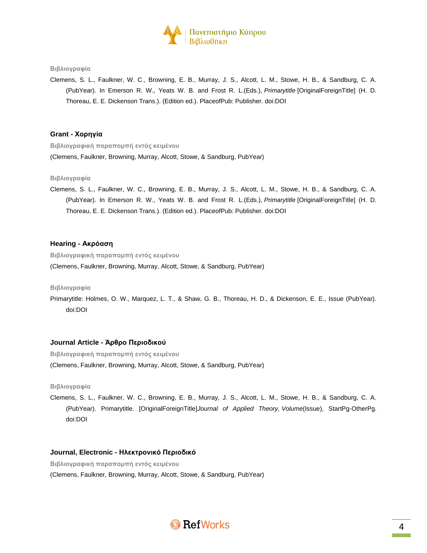

Clemens, S. L., Faulkner, W. C., Browning, E. B., Murray, J. S., Alcott, L. M., Stowe, H. B., & Sandburg, C. A. (PubYear). In Emerson R. W., Yeats W. B. and Frost R. L.(Eds.), *Primarytitle* [OriginalForeignTitle] (H. D. Thoreau, E. E. Dickenson Trans.). (Edition ed.). PlaceofPub: Publisher. doi:DOI

# **Grant - Χορηγία**

**Βιβλιογραφική παραπομπή εντός κειμένου** (Clemens, Faulkner, Browning, Murray, Alcott, Stowe, & Sandburg, PubYear)

#### **Βιβλιογραφία**

Clemens, S. L., Faulkner, W. C., Browning, E. B., Murray, J. S., Alcott, L. M., Stowe, H. B., & Sandburg, C. A. (PubYear). In Emerson R. W., Yeats W. B. and Frost R. L.(Eds.), *Primarytitle* [OriginalForeignTitle] (H. D. Thoreau, E. E. Dickenson Trans.). (Edition ed.). PlaceofPub: Publisher. doi:DOI

## **Hearing - Ακρόαση**

**Βιβλιογραφική παραπομπή εντός κειμένου**

(Clemens, Faulkner, Browning, Murray, Alcott, Stowe, & Sandburg, PubYear)

#### **Βιβλιογραφία**

Primarytitle: Holmes, O. W., Marquez, L. T., & Shaw, G. B., Thoreau, H. D., & Dickenson, E. E., Issue (PubYear). doi:DOI

#### **Journal Article - Άρθρο Περιοδικού**

**Βιβλιογραφική παραπομπή εντός κειμένου**

(Clemens, Faulkner, Browning, Murray, Alcott, Stowe, & Sandburg, PubYear)

### **Βιβλιογραφία**

Clemens, S. L., Faulkner, W. C., Browning, E. B., Murray, J. S., Alcott, L. M., Stowe, H. B., & Sandburg, C. A. (PubYear). Primarytitle. [OriginalForeignTitle]*Journal of Applied Theory, Volume*(Issue), StartPg-OtherPg. doi:DOI

### **Journal, Electronic - Ηλεκτρονικό Περιοδικό**

**Βιβλιογραφική παραπομπή εντός κειμένου** (Clemens, Faulkner, Browning, Murray, Alcott, Stowe, & Sandburg, PubYear)

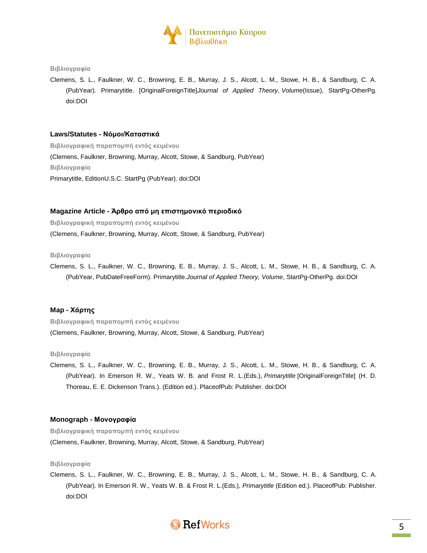

Clemens, S. L., Faulkner, W. C., Browning, E. B., Murray, J. S., Alcott, L. M., Stowe, H. B., & Sandburg, C. A. (PubYear). Primarytitle. [OriginalForeignTitle]*Journal of Applied Theory, Volume*(Issue), StartPg-OtherPg. doi:DOI

# **Laws/Statutes - Νόμοι/Καταστικά**

**Βιβλιογραφική παραπομπή εντός κειμένου** (Clemens, Faulkner, Browning, Murray, Alcott, Stowe, & Sandburg, PubYear) **Βιβλιογραφία** Primarytitle, EditionU.S.C. StartPg (PubYear). doi:DOI

# **Magazine Article - Άρθρο από μη επιστημονικό περιοδικό**

**Βιβλιογραφική παραπομπή εντός κειμένου** (Clemens, Faulkner, Browning, Murray, Alcott, Stowe, & Sandburg, PubYear)

### **Βιβλιογραφία**

Clemens, S. L., Faulkner, W. C., Browning, E. B., Murray, J. S., Alcott, L. M., Stowe, H. B., & Sandburg, C. A. (PubYear, PubDateFreeForm). Primarytitle.*Journal of Applied Theory, Volume*, StartPg-OtherPg. doi:DOI

# **Map - Χάρτης**

**Βιβλιογραφική παραπομπή εντός κειμένου** (Clemens, Faulkner, Browning, Murray, Alcott, Stowe, & Sandburg, PubYear)

#### **Βιβλιογραφία**

Clemens, S. L., Faulkner, W. C., Browning, E. B., Murray, J. S., Alcott, L. M., Stowe, H. B., & Sandburg, C. A. (PubYear). In Emerson R. W., Yeats W. B. and Frost R. L.(Eds.), *Primarytitle* [OriginalForeignTitle] (H. D. Thoreau, E. E. Dickenson Trans.). (Edition ed.). PlaceofPub: Publisher. doi:DOI

# **Monograph - Μονογραφία**

**Βιβλιογραφική παραπομπή εντός κειμένου** (Clemens, Faulkner, Browning, Murray, Alcott, Stowe, & Sandburg, PubYear)

# **Βιβλιογραφία**

Clemens, S. L., Faulkner, W. C., Browning, E. B., Murray, J. S., Alcott, L. M., Stowe, H. B., & Sandburg, C. A. (PubYear). In Emerson R. W., Yeats W. B. & Frost R. L.(Eds.), *Primarytitle* (Edition ed.). PlaceofPub: Publisher. doi:DOI

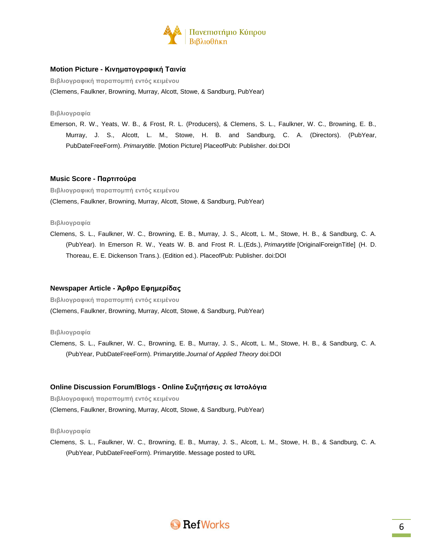

# **Motion Picture - Κινηματογραφική Ταινία**

**Βιβλιογραφική παραπομπή εντός κειμένου**

(Clemens, Faulkner, Browning, Murray, Alcott, Stowe, & Sandburg, PubYear)

### **Βιβλιογραφία**

Emerson, R. W., Yeats, W. B., & Frost, R. L. (Producers), & Clemens, S. L., Faulkner, W. C., Browning, E. B., Murray, J. S., Alcott, L. M., Stowe, H. B. and Sandburg, C. A. (Directors). (PubYear, PubDateFreeForm). *Primarytitle.* [Motion Picture] PlaceofPub: Publisher. doi:DOI

# **Music Score - Παρτιτούρα**

**Βιβλιογραφική παραπομπή εντός κειμένου** (Clemens, Faulkner, Browning, Murray, Alcott, Stowe, & Sandburg, PubYear)

### **Βιβλιογραφία**

Clemens, S. L., Faulkner, W. C., Browning, E. B., Murray, J. S., Alcott, L. M., Stowe, H. B., & Sandburg, C. A. (PubYear). In Emerson R. W., Yeats W. B. and Frost R. L.(Eds.), *Primarytitle* [OriginalForeignTitle] (H. D. Thoreau, E. E. Dickenson Trans.). (Edition ed.). PlaceofPub: Publisher. doi:DOI

# **Newspaper Article - Άρθρο Εφημερίδας**

**Βιβλιογραφική παραπομπή εντός κειμένου** (Clemens, Faulkner, Browning, Murray, Alcott, Stowe, & Sandburg, PubYear)

#### **Βιβλιογραφία**

Clemens, S. L., Faulkner, W. C., Browning, E. B., Murray, J. S., Alcott, L. M., Stowe, H. B., & Sandburg, C. A. (PubYear, PubDateFreeForm). Primarytitle.*Journal of Applied Theory* doi:DOI

# **Online Discussion Forum/Blogs - Online Συζητήσεις σε Ιστολόγια**

**Βιβλιογραφική παραπομπή εντός κειμένου**

(Clemens, Faulkner, Browning, Murray, Alcott, Stowe, & Sandburg, PubYear)

#### **Βιβλιογραφία**

Clemens, S. L., Faulkner, W. C., Browning, E. B., Murray, J. S., Alcott, L. M., Stowe, H. B., & Sandburg, C. A. (PubYear, PubDateFreeForm). Primarytitle. Message posted to URL

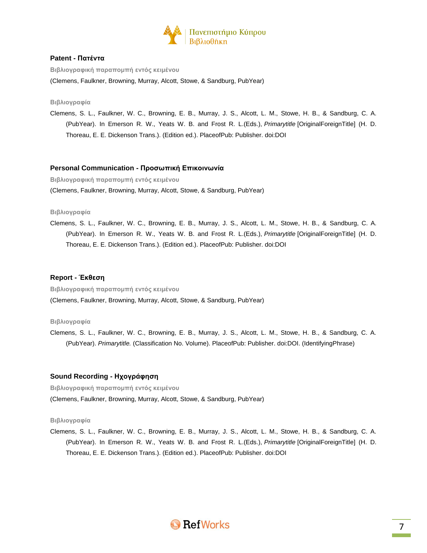

# **Patent - Πατέντα**

**Βιβλιογραφική παραπομπή εντός κειμένου**

(Clemens, Faulkner, Browning, Murray, Alcott, Stowe, & Sandburg, PubYear)

#### **Βιβλιογραφία**

Clemens, S. L., Faulkner, W. C., Browning, E. B., Murray, J. S., Alcott, L. M., Stowe, H. B., & Sandburg, C. A. (PubYear). In Emerson R. W., Yeats W. B. and Frost R. L.(Eds.), *Primarytitle* [OriginalForeignTitle] (H. D. Thoreau, E. E. Dickenson Trans.). (Edition ed.). PlaceofPub: Publisher. doi:DOI

### **Personal Communication - Προσωπική Επικοινωνία**

**Βιβλιογραφική παραπομπή εντός κειμένου** (Clemens, Faulkner, Browning, Murray, Alcott, Stowe, & Sandburg, PubYear)

### **Βιβλιογραφία**

Clemens, S. L., Faulkner, W. C., Browning, E. B., Murray, J. S., Alcott, L. M., Stowe, H. B., & Sandburg, C. A. (PubYear). In Emerson R. W., Yeats W. B. and Frost R. L.(Eds.), *Primarytitle* [OriginalForeignTitle] (H. D. Thoreau, E. E. Dickenson Trans.). (Edition ed.). PlaceofPub: Publisher. doi:DOI

### **Report - Έκθεση**

**Βιβλιογραφική παραπομπή εντός κειμένου** (Clemens, Faulkner, Browning, Murray, Alcott, Stowe, & Sandburg, PubYear)

#### **Βιβλιογραφία**

Clemens, S. L., Faulkner, W. C., Browning, E. B., Murray, J. S., Alcott, L. M., Stowe, H. B., & Sandburg, C. A. (PubYear). *Primarytitle.* (Classification No. Volume). PlaceofPub: Publisher. doi:DOI. (IdentifyingPhrase)

# **Sound Recording - Ηχογράφηση**

**Βιβλιογραφική παραπομπή εντός κειμένου** (Clemens, Faulkner, Browning, Murray, Alcott, Stowe, & Sandburg, PubYear)

# **Βιβλιογραφία**

Clemens, S. L., Faulkner, W. C., Browning, E. B., Murray, J. S., Alcott, L. M., Stowe, H. B., & Sandburg, C. A. (PubYear). In Emerson R. W., Yeats W. B. and Frost R. L.(Eds.), *Primarytitle* [OriginalForeignTitle] (H. D. Thoreau, E. E. Dickenson Trans.). (Edition ed.). PlaceofPub: Publisher. doi:DOI